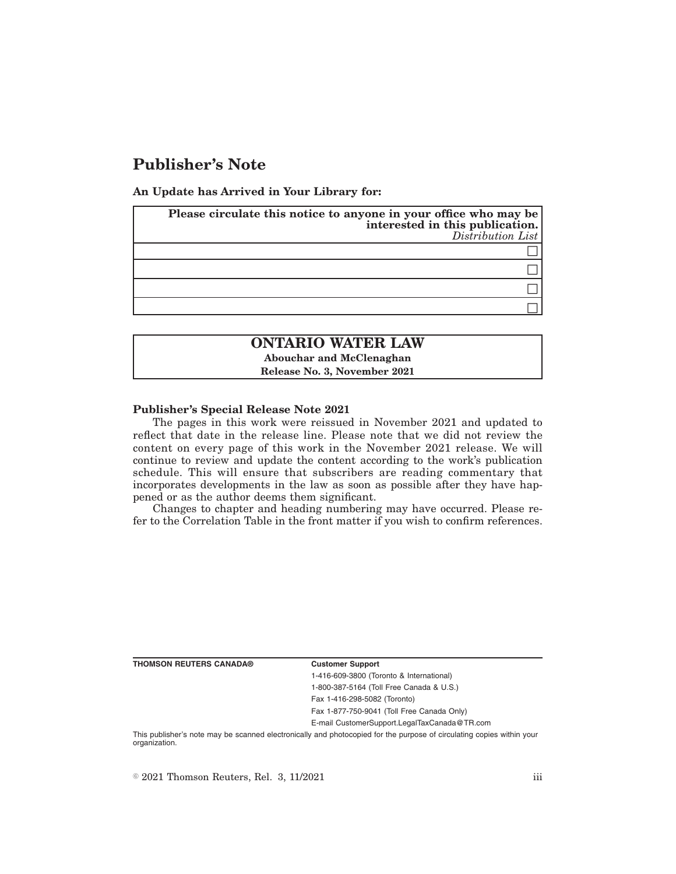# **Publisher's Note**

**An Update has Arrived in Your Library for:**

| Please circulate this notice to anyone in your office who may be<br>interested in this publication.<br>Distribution List |
|--------------------------------------------------------------------------------------------------------------------------|
|                                                                                                                          |
|                                                                                                                          |
|                                                                                                                          |
|                                                                                                                          |

## **ONTARIO WATER LAW Abouchar and McClenaghan**

**Release No. 3, November 2021**

### **Publisher's Special Release Note 2021**

The pages in this work were reissued in November 2021 and updated to reflect that date in the release line. Please note that we did not review the content on every page of this work in the November 2021 release. We will continue to review and update the content according to the work's publication schedule. This will ensure that subscribers are reading commentary that incorporates developments in the law as soon as possible after they have happened or as the author deems them significant.

Changes to chapter and heading numbering may have occurred. Please refer to the Correlation Table in the front matter if you wish to confirm references.

**THOMSON REUTERS CANADA® Customer Support**

1-416-609-3800 (Toronto & International) 1-800-387-5164 (Toll Free Canada & U.S.)

Fax 1-416-298-5082 (Toronto)

Fax 1-877-750-9041 (Toll Free Canada Only)

E-mail CustomerSupport.LegalTaxCanada@TR.com

This publisher's note may be scanned electronically and photocopied for the purpose of circulating copies within your organization.

 $\degree$  2021 Thomson Reuters, Rel. 3, 11/2021 iii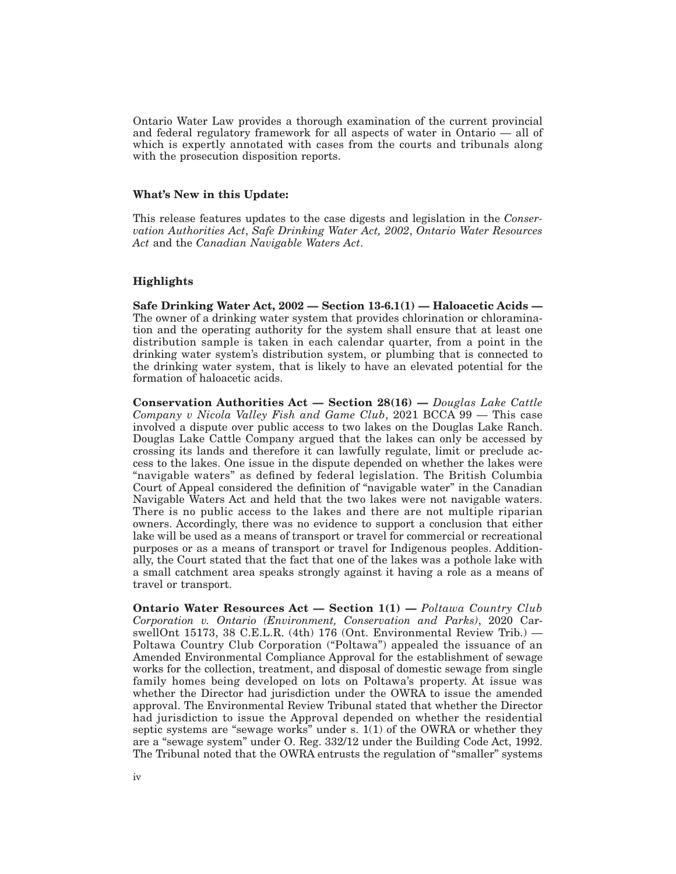Ontario Water Law provides a thorough examination of the current provincial and federal regulatory framework for all aspects of water in Ontario — all of which is expertly annotated with cases from the courts and tribunals along with the prosecution disposition reports.

### **What's New in this Update:**

This release features updates to the case digests and legislation in the *Conservation Authorities Act*, *Safe Drinking Water Act, 2002*, *Ontario Water Resources Act* and the *Canadian Navigable Waters Act*.

### **Highlights**

**Safe Drinking Water Act, 2002 — Section 13-6.1(1) — Haloacetic Acids —** The owner of a drinking water system that provides chlorination or chloramination and the operating authority for the system shall ensure that at least one distribution sample is taken in each calendar quarter, from a point in the drinking water system's distribution system, or plumbing that is connected to the drinking water system, that is likely to have an elevated potential for the formation of haloacetic acids.

**Conservation Authorities Act — Section 28(16) —** *Douglas Lake Cattle Company v Nicola Valley Fish and Game Club*, 2021 BCCA 99 — This case involved a dispute over public access to two lakes on the Douglas Lake Ranch. Douglas Lake Cattle Company argued that the lakes can only be accessed by crossing its lands and therefore it can lawfully regulate, limit or preclude access to the lakes. One issue in the dispute depended on whether the lakes were "navigable waters" as defined by federal legislation. The British Columbia Court of Appeal considered the definition of "navigable water" in the Canadian Navigable Waters Act and held that the two lakes were not navigable waters. There is no public access to the lakes and there are not multiple riparian owners. Accordingly, there was no evidence to support a conclusion that either lake will be used as a means of transport or travel for commercial or recreational purposes or as a means of transport or travel for Indigenous peoples. Additionally, the Court stated that the fact that one of the lakes was a pothole lake with a small catchment area speaks strongly against it having a role as a means of travel or transport.

**Ontario Water Resources Act — Section 1(1) —** *Poltawa Country Club Corporation v. Ontario (Environment, Conservation and Parks)*, 2020 CarswellOnt 15173, 38 C.E.L.R. (4th) 176 (Ont. Environmental Review Trib.) — Poltawa Country Club Corporation ("Poltawa") appealed the issuance of an Amended Environmental Compliance Approval for the establishment of sewage works for the collection, treatment, and disposal of domestic sewage from single family homes being developed on lots on Poltawa's property. At issue was whether the Director had jurisdiction under the OWRA to issue the amended approval. The Environmental Review Tribunal stated that whether the Director had jurisdiction to issue the Approval depended on whether the residential septic systems are "sewage works" under s.  $1(1)$  of the OWRA or whether they are a "sewage system" under O. Reg. 332/12 under the Building Code Act, 1992. The Tribunal noted that the OWRA entrusts the regulation of "smaller" systems